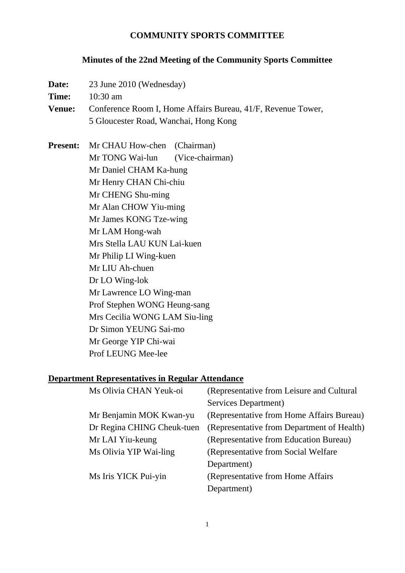## **COMMUNITY SPORTS COMMITTEE**

# **Minutes of the 22nd Meeting of the Community Sports Committee**

| Date:                                                   | 23 June 2010 (Wednesday)                                                                                                                                                                                                                                                                                                                                       |                                           |  |  |
|---------------------------------------------------------|----------------------------------------------------------------------------------------------------------------------------------------------------------------------------------------------------------------------------------------------------------------------------------------------------------------------------------------------------------------|-------------------------------------------|--|--|
| Time:                                                   | $10:30$ am                                                                                                                                                                                                                                                                                                                                                     |                                           |  |  |
| <b>Venue:</b>                                           | Conference Room I, Home Affairs Bureau, 41/F, Revenue Tower,                                                                                                                                                                                                                                                                                                   |                                           |  |  |
|                                                         | 5 Gloucester Road, Wanchai, Hong Kong                                                                                                                                                                                                                                                                                                                          |                                           |  |  |
|                                                         |                                                                                                                                                                                                                                                                                                                                                                |                                           |  |  |
| <b>Present:</b>                                         | Mr CHAU How-chen (Chairman)                                                                                                                                                                                                                                                                                                                                    |                                           |  |  |
|                                                         | Mr TONG Wai-lun                                                                                                                                                                                                                                                                                                                                                | (Vice-chairman)                           |  |  |
|                                                         | Mr Daniel CHAM Ka-hung<br>Mr Henry CHAN Chi-chiu<br>Mr CHENG Shu-ming<br>Mr Alan CHOW Yiu-ming<br>Mr James KONG Tze-wing<br>Mr LAM Hong-wah<br>Mrs Stella LAU KUN Lai-kuen<br>Mr Philip LI Wing-kuen<br>Mr LIU Ah-chuen<br>Dr LO Wing-lok<br>Mr Lawrence LO Wing-man<br>Prof Stephen WONG Heung-sang<br>Mrs Cecilia WONG LAM Siu-ling<br>Dr Simon YEUNG Sai-mo |                                           |  |  |
|                                                         |                                                                                                                                                                                                                                                                                                                                                                |                                           |  |  |
|                                                         |                                                                                                                                                                                                                                                                                                                                                                |                                           |  |  |
|                                                         |                                                                                                                                                                                                                                                                                                                                                                |                                           |  |  |
|                                                         |                                                                                                                                                                                                                                                                                                                                                                |                                           |  |  |
|                                                         |                                                                                                                                                                                                                                                                                                                                                                |                                           |  |  |
|                                                         |                                                                                                                                                                                                                                                                                                                                                                |                                           |  |  |
|                                                         |                                                                                                                                                                                                                                                                                                                                                                |                                           |  |  |
|                                                         |                                                                                                                                                                                                                                                                                                                                                                |                                           |  |  |
|                                                         |                                                                                                                                                                                                                                                                                                                                                                |                                           |  |  |
|                                                         |                                                                                                                                                                                                                                                                                                                                                                |                                           |  |  |
|                                                         |                                                                                                                                                                                                                                                                                                                                                                |                                           |  |  |
|                                                         |                                                                                                                                                                                                                                                                                                                                                                |                                           |  |  |
|                                                         |                                                                                                                                                                                                                                                                                                                                                                |                                           |  |  |
|                                                         | Mr George YIP Chi-wai                                                                                                                                                                                                                                                                                                                                          |                                           |  |  |
|                                                         | Prof LEUNG Mee-lee                                                                                                                                                                                                                                                                                                                                             |                                           |  |  |
|                                                         |                                                                                                                                                                                                                                                                                                                                                                |                                           |  |  |
| <b>Department Representatives in Regular Attendance</b> |                                                                                                                                                                                                                                                                                                                                                                |                                           |  |  |
|                                                         | Ms Olivia CHAN Yeuk-oi                                                                                                                                                                                                                                                                                                                                         | (Representative from Leisure and Cultural |  |  |
|                                                         |                                                                                                                                                                                                                                                                                                                                                                | Services Department)                      |  |  |
|                                                         | $M_{\mu}$ Deniamin $M\Omega V$ $V_{\text{cross}}$ $\mathbf{v}_{\text{max}}$                                                                                                                                                                                                                                                                                    | Depressantative from Home Affairs Duncan  |  |  |

|                            | Services Department                        |
|----------------------------|--------------------------------------------|
| Mr Benjamin MOK Kwan-yu    | (Representative from Home Affairs Bureau)  |
| Dr Regina CHING Cheuk-tuen | (Representative from Department of Health) |
| Mr LAI Yiu-keung           | (Representative from Education Bureau)     |
| Ms Olivia YIP Wai-ling     | (Representative from Social Welfare)       |
|                            | Department)                                |
| Ms Iris YICK Pui-yin       | (Representative from Home Affairs          |
|                            | Department)                                |
|                            |                                            |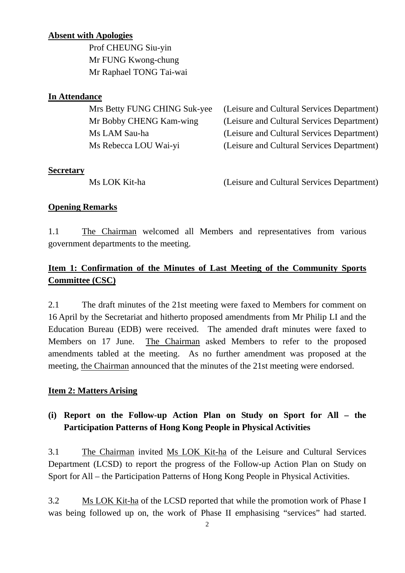### **Absent with Apologies**

 Prof CHEUNG Siu-yin Mr FUNG Kwong-chung Mr Raphael TONG Tai-wai

#### **In Attendance**

| Mrs Betty FUNG CHING Suk-yee | (Leisure and Cultural Services Department) |
|------------------------------|--------------------------------------------|
| Mr Bobby CHENG Kam-wing      | (Leisure and Cultural Services Department) |
| Ms LAM Sau-ha                | (Leisure and Cultural Services Department) |
| Ms Rebecca LOU Wai-yi        | (Leisure and Cultural Services Department) |
|                              |                                            |

#### **Secretary**

Ms LOK Kit-ha (Leisure and Cultural Services Department)

### **Opening Remarks**

1.1 The Chairman welcomed all Members and representatives from various government departments to the meeting.

# **Item 1: Confirmation of the Minutes of Last Meeting of the Community Sports Committee (CSC)**

2.1 The draft minutes of the 21st meeting were faxed to Members for comment on 16 April by the Secretariat and hitherto proposed amendments from Mr Philip LI and the Education Bureau (EDB) were received. The amended draft minutes were faxed to Members on 17 June. The Chairman asked Members to refer to the proposed amendments tabled at the meeting. As no further amendment was proposed at the meeting, the Chairman announced that the minutes of the 21st meeting were endorsed.

### **Item 2: Matters Arising**

# **(i) Report on the Follow-up Action Plan on Study on Sport for All – the Participation Patterns of Hong Kong People in Physical Activities**

3.1 The Chairman invited Ms LOK Kit-ha of the Leisure and Cultural Services Department (LCSD) to report the progress of the Follow-up Action Plan on Study on Sport for All – the Participation Patterns of Hong Kong People in Physical Activities.

3.2 Ms LOK Kit-ha of the LCSD reported that while the promotion work of Phase I was being followed up on, the work of Phase II emphasising "services" had started.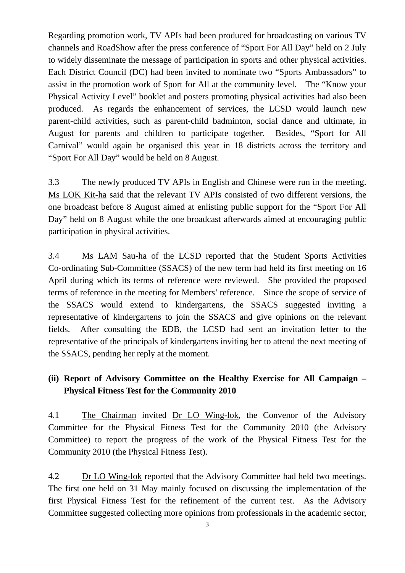Regarding promotion work, TV APIs had been produced for broadcasting on various TV channels and RoadShow after the press conference of "Sport For All Day" held on 2 July to widely disseminate the message of participation in sports and other physical activities. Each District Council (DC) had been invited to nominate two "Sports Ambassadors" to assist in the promotion work of Sport for All at the community level. The "Know your Physical Activity Level" booklet and posters promoting physical activities had also been produced. As regards the enhancement of services, the LCSD would launch new parent-child activities, such as parent-child badminton, social dance and ultimate, in August for parents and children to participate together. Besides, "Sport for All Carnival" would again be organised this year in 18 districts across the territory and "Sport For All Day" would be held on 8 August.

3.3 The newly produced TV APIs in English and Chinese were run in the meeting. Ms LOK Kit-ha said that the relevant TV APIs consisted of two different versions, the one broadcast before 8 August aimed at enlisting public support for the "Sport For All Day" held on 8 August while the one broadcast afterwards aimed at encouraging public participation in physical activities.

3.4 Ms LAM Sau-ha of the LCSD reported that the Student Sports Activities Co-ordinating Sub-Committee (SSACS) of the new term had held its first meeting on 16 April during which its terms of reference were reviewed. She provided the proposed terms of reference in the meeting for Members' reference. Since the scope of service of the SSACS would extend to kindergartens, the SSACS suggested inviting a representative of kindergartens to join the SSACS and give opinions on the relevant fields. After consulting the EDB, the LCSD had sent an invitation letter to the representative of the principals of kindergartens inviting her to attend the next meeting of the SSACS, pending her reply at the moment.

# **(ii) Report of Advisory Committee on the Healthy Exercise for All Campaign – Physical Fitness Test for the Community 2010**

4.1 The Chairman invited Dr LO Wing-lok, the Convenor of the Advisory Committee for the Physical Fitness Test for the Community 2010 (the Advisory Committee) to report the progress of the work of the Physical Fitness Test for the Community 2010 (the Physical Fitness Test).

4.2 Dr LO Wing-lok reported that the Advisory Committee had held two meetings. The first one held on 31 May mainly focused on discussing the implementation of the first Physical Fitness Test for the refinement of the current test. As the Advisory Committee suggested collecting more opinions from professionals in the academic sector,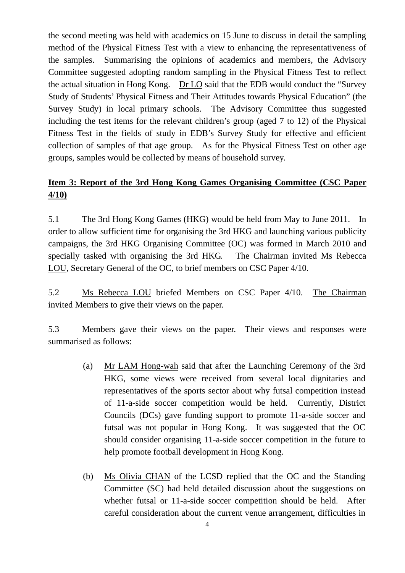the second meeting was held with academics on 15 June to discuss in detail the sampling method of the Physical Fitness Test with a view to enhancing the representativeness of the samples. Summarising the opinions of academics and members, the Advisory Committee suggested adopting random sampling in the Physical Fitness Test to reflect the actual situation in Hong Kong. Dr LO said that the EDB would conduct the "Survey Study of Students' Physical Fitness and Their Attitudes towards Physical Education" (the Survey Study) in local primary schools. The Advisory Committee thus suggested including the test items for the relevant children's group (aged 7 to 12) of the Physical Fitness Test in the fields of study in EDB's Survey Study for effective and efficient collection of samples of that age group. As for the Physical Fitness Test on other age groups, samples would be collected by means of household survey.

# **Item 3: Report of the 3rd Hong Kong Games Organising Committee (CSC Paper 4/10)**

5.1 The 3rd Hong Kong Games (HKG) would be held from May to June 2011. In order to allow sufficient time for organising the 3rd HKG and launching various publicity campaigns, the 3rd HKG Organising Committee (OC) was formed in March 2010 and specially tasked with organising the 3rd HKG. The Chairman invited Ms Rebecca LOU, Secretary General of the OC, to brief members on CSC Paper 4/10.

5.2 Ms Rebecca LOU briefed Members on CSC Paper 4/10. The Chairman invited Members to give their views on the paper.

5.3 Members gave their views on the paper. Their views and responses were summarised as follows:

- (a) Mr LAM Hong-wah said that after the Launching Ceremony of the 3rd HKG, some views were received from several local dignitaries and representatives of the sports sector about why futsal competition instead of 11-a-side soccer competition would be held. Currently, District Councils (DCs) gave funding support to promote 11-a-side soccer and futsal was not popular in Hong Kong. It was suggested that the OC should consider organising 11-a-side soccer competition in the future to help promote football development in Hong Kong.
- (b) Ms Olivia CHAN of the LCSD replied that the OC and the Standing Committee (SC) had held detailed discussion about the suggestions on whether futsal or 11-a-side soccer competition should be held. After careful consideration about the current venue arrangement, difficulties in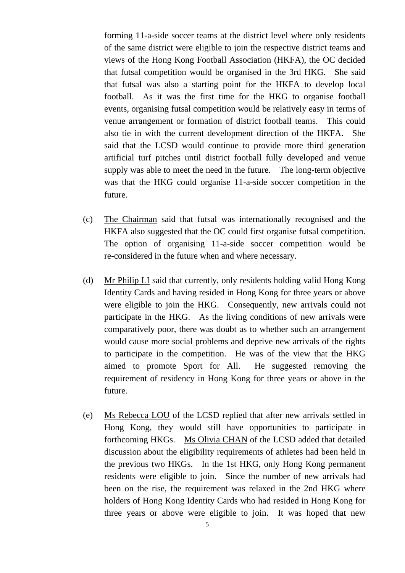forming 11-a-side soccer teams at the district level where only residents of the same district were eligible to join the respective district teams and views of the Hong Kong Football Association (HKFA), the OC decided that futsal competition would be organised in the 3rd HKG. She said that futsal was also a starting point for the HKFA to develop local football. As it was the first time for the HKG to organise football events, organising futsal competition would be relatively easy in terms of venue arrangement or formation of district football teams. This could also tie in with the current development direction of the HKFA. She said that the LCSD would continue to provide more third generation artificial turf pitches until district football fully developed and venue supply was able to meet the need in the future. The long-term objective was that the HKG could organise 11-a-side soccer competition in the future.

- (c) The Chairman said that futsal was internationally recognised and the HKFA also suggested that the OC could first organise futsal competition. The option of organising 11-a-side soccer competition would be re-considered in the future when and where necessary.
- (d) Mr Philip LI said that currently, only residents holding valid Hong Kong Identity Cards and having resided in Hong Kong for three years or above were eligible to join the HKG. Consequently, new arrivals could not participate in the HKG. As the living conditions of new arrivals were comparatively poor, there was doubt as to whether such an arrangement would cause more social problems and deprive new arrivals of the rights to participate in the competition. He was of the view that the HKG aimed to promote Sport for All. He suggested removing the requirement of residency in Hong Kong for three years or above in the future.
- (e) Ms Rebecca LOU of the LCSD replied that after new arrivals settled in Hong Kong, they would still have opportunities to participate in forthcoming HKGs. Ms Olivia CHAN of the LCSD added that detailed discussion about the eligibility requirements of athletes had been held in the previous two HKGs. In the 1st HKG, only Hong Kong permanent residents were eligible to join. Since the number of new arrivals had been on the rise, the requirement was relaxed in the 2nd HKG where holders of Hong Kong Identity Cards who had resided in Hong Kong for three years or above were eligible to join. It was hoped that new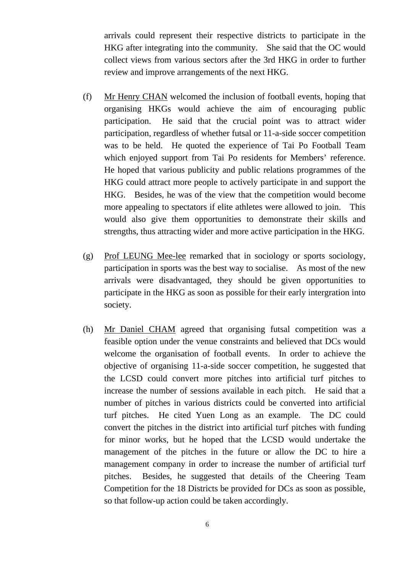arrivals could represent their respective districts to participate in the HKG after integrating into the community. She said that the OC would collect views from various sectors after the 3rd HKG in order to further review and improve arrangements of the next HKG.

- (f) Mr Henry CHAN welcomed the inclusion of football events, hoping that organising HKGs would achieve the aim of encouraging public participation. He said that the crucial point was to attract wider participation, regardless of whether futsal or 11-a-side soccer competition was to be held. He quoted the experience of Tai Po Football Team which enjoyed support from Tai Po residents for Members' reference. He hoped that various publicity and public relations programmes of the HKG could attract more people to actively participate in and support the HKG. Besides, he was of the view that the competition would become more appealing to spectators if elite athletes were allowed to join. This would also give them opportunities to demonstrate their skills and strengths, thus attracting wider and more active participation in the HKG.
- (g) Prof LEUNG Mee-lee remarked that in sociology or sports sociology, participation in sports was the best way to socialise. As most of the new arrivals were disadvantaged, they should be given opportunities to participate in the HKG as soon as possible for their early intergration into society.
- (h) Mr Daniel CHAM agreed that organising futsal competition was a feasible option under the venue constraints and believed that DCs would welcome the organisation of football events. In order to achieve the objective of organising 11-a-side soccer competition, he suggested that the LCSD could convert more pitches into artificial turf pitches to increase the number of sessions available in each pitch. He said that a number of pitches in various districts could be converted into artificial turf pitches. He cited Yuen Long as an example. The DC could convert the pitches in the district into artificial turf pitches with funding for minor works, but he hoped that the LCSD would undertake the management of the pitches in the future or allow the DC to hire a management company in order to increase the number of artificial turf pitches. Besides, he suggested that details of the Cheering Team Competition for the 18 Districts be provided for DCs as soon as possible, so that follow-up action could be taken accordingly.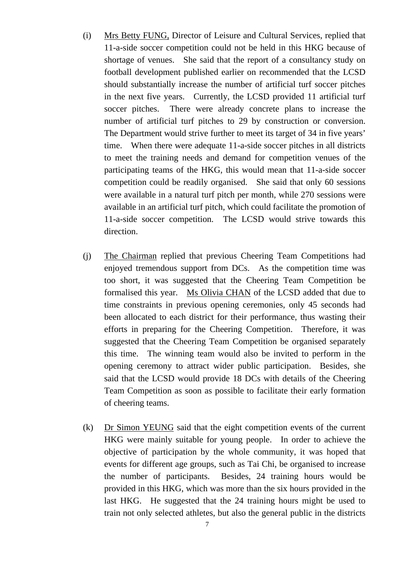- (i) Mrs Betty FUNG, Director of Leisure and Cultural Services, replied that 11-a-side soccer competition could not be held in this HKG because of shortage of venues. She said that the report of a consultancy study on football development published earlier on recommended that the LCSD should substantially increase the number of artificial turf soccer pitches in the next five years. Currently, the LCSD provided 11 artificial turf soccer pitches. There were already concrete plans to increase the number of artificial turf pitches to 29 by construction or conversion. The Department would strive further to meet its target of 34 in five years' time. When there were adequate 11-a-side soccer pitches in all districts to meet the training needs and demand for competition venues of the participating teams of the HKG, this would mean that 11-a-side soccer competition could be readily organised. She said that only 60 sessions were available in a natural turf pitch per month, while 270 sessions were available in an artificial turf pitch, which could facilitate the promotion of 11-a-side soccer competition. The LCSD would strive towards this direction.
- (j) The Chairman replied that previous Cheering Team Competitions had enjoyed tremendous support from DCs. As the competition time was too short, it was suggested that the Cheering Team Competition be formalised this year. Ms Olivia CHAN of the LCSD added that due to time constraints in previous opening ceremonies, only 45 seconds had been allocated to each district for their performance, thus wasting their efforts in preparing for the Cheering Competition. Therefore, it was suggested that the Cheering Team Competition be organised separately this time. The winning team would also be invited to perform in the opening ceremony to attract wider public participation. Besides, she said that the LCSD would provide 18 DCs with details of the Cheering Team Competition as soon as possible to facilitate their early formation of cheering teams.
- (k) Dr Simon YEUNG said that the eight competition events of the current HKG were mainly suitable for young people. In order to achieve the objective of participation by the whole community, it was hoped that events for different age groups, such as Tai Chi, be organised to increase the number of participants. Besides, 24 training hours would be provided in this HKG, which was more than the six hours provided in the last HKG. He suggested that the 24 training hours might be used to train not only selected athletes, but also the general public in the districts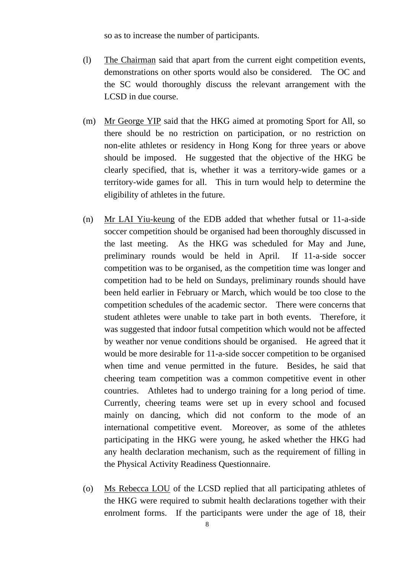so as to increase the number of participants.

- (l) The Chairman said that apart from the current eight competition events, demonstrations on other sports would also be considered. The OC and the SC would thoroughly discuss the relevant arrangement with the LCSD in due course.
- (m) Mr George YIP said that the HKG aimed at promoting Sport for All, so there should be no restriction on participation, or no restriction on non-elite athletes or residency in Hong Kong for three years or above should be imposed. He suggested that the objective of the HKG be clearly specified, that is, whether it was a territory-wide games or a territory-wide games for all. This in turn would help to determine the eligibility of athletes in the future.
- (n) Mr LAI Yiu-keung of the EDB added that whether futsal or 11-a-side soccer competition should be organised had been thoroughly discussed in the last meeting. As the HKG was scheduled for May and June, preliminary rounds would be held in April. If 11-a-side soccer competition was to be organised, as the competition time was longer and competition had to be held on Sundays, preliminary rounds should have been held earlier in February or March, which would be too close to the competition schedules of the academic sector. There were concerns that student athletes were unable to take part in both events. Therefore, it was suggested that indoor futsal competition which would not be affected by weather nor venue conditions should be organised. He agreed that it would be more desirable for 11-a-side soccer competition to be organised when time and venue permitted in the future. Besides, he said that cheering team competition was a common competitive event in other countries. Athletes had to undergo training for a long period of time. Currently, cheering teams were set up in every school and focused mainly on dancing, which did not conform to the mode of an international competitive event. Moreover, as some of the athletes participating in the HKG were young, he asked whether the HKG had any health declaration mechanism, such as the requirement of filling in the Physical Activity Readiness Questionnaire.
- (o) Ms Rebecca LOU of the LCSD replied that all participating athletes of the HKG were required to submit health declarations together with their enrolment forms. If the participants were under the age of 18, their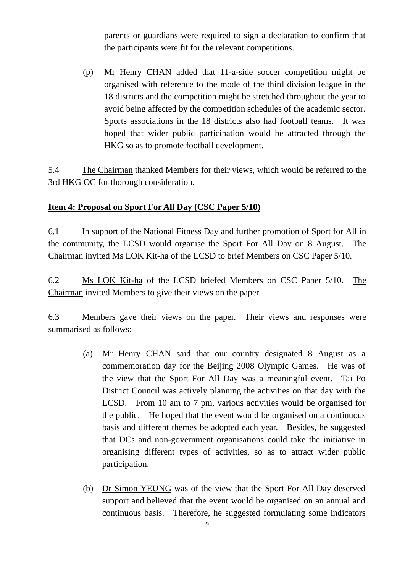parents or guardians were required to sign a declaration to confirm that the participants were fit for the relevant competitions.

 (p) Mr Henry CHAN added that 11-a-side soccer competition might be organised with reference to the mode of the third division league in the 18 districts and the competition might be stretched throughout the year to avoid being affected by the competition schedules of the academic sector. Sports associations in the 18 districts also had football teams. It was hoped that wider public participation would be attracted through the HKG so as to promote football development.

5.4 The Chairman thanked Members for their views, which would be referred to the 3rd HKG OC for thorough consideration.

#### **Item 4: Proposal on Sport For All Day (CSC Paper 5/10)**

6.1 In support of the National Fitness Day and further promotion of Sport for All in the community, the LCSD would organise the Sport For All Day on 8 August. The Chairman invited Ms LOK Kit-ha of the LCSD to brief Members on CSC Paper 5/10.

6.2 Ms LOK Kit-ha of the LCSD briefed Members on CSC Paper 5/10. The Chairman invited Members to give their views on the paper.

6.3 Members gave their views on the paper. Their views and responses were summarised as follows:

- (a) Mr Henry CHAN said that our country designated 8 August as a commemoration day for the Beijing 2008 Olympic Games. He was of the view that the Sport For All Day was a meaningful event. Tai Po District Council was actively planning the activities on that day with the LCSD. From 10 am to 7 pm, various activities would be organised for the public. He hoped that the event would be organised on a continuous basis and different themes be adopted each year. Besides, he suggested that DCs and non-government organisations could take the initiative in organising different types of activities, so as to attract wider public participation.
- (b) Dr Simon YEUNG was of the view that the Sport For All Day deserved support and believed that the event would be organised on an annual and continuous basis. Therefore, he suggested formulating some indicators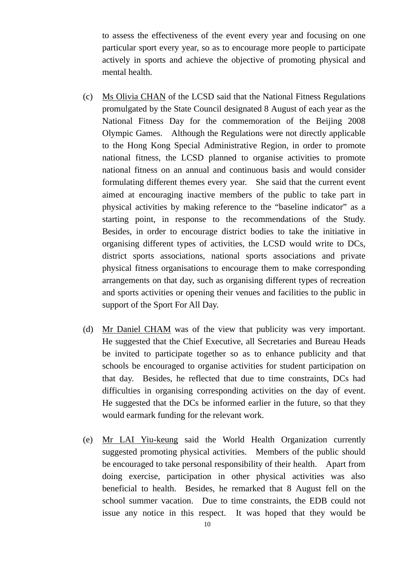to assess the effectiveness of the event every year and focusing on one particular sport every year, so as to encourage more people to participate actively in sports and achieve the objective of promoting physical and mental health.

- (c) Ms Olivia CHAN of the LCSD said that the National Fitness Regulations promulgated by the State Council designated 8 August of each year as the National Fitness Day for the commemoration of the Beijing 2008 Olympic Games. Although the Regulations were not directly applicable to the Hong Kong Special Administrative Region, in order to promote national fitness, the LCSD planned to organise activities to promote national fitness on an annual and continuous basis and would consider formulating different themes every year. She said that the current event aimed at encouraging inactive members of the public to take part in physical activities by making reference to the "baseline indicator" as a starting point, in response to the recommendations of the Study. Besides, in order to encourage district bodies to take the initiative in organising different types of activities, the LCSD would write to DCs, district sports associations, national sports associations and private physical fitness organisations to encourage them to make corresponding arrangements on that day, such as organising different types of recreation and sports activities or opening their venues and facilities to the public in support of the Sport For All Day.
- (d) Mr Daniel CHAM was of the view that publicity was very important. He suggested that the Chief Executive, all Secretaries and Bureau Heads be invited to participate together so as to enhance publicity and that schools be encouraged to organise activities for student participation on that day. Besides, he reflected that due to time constraints, DCs had difficulties in organising corresponding activities on the day of event. He suggested that the DCs be informed earlier in the future, so that they would earmark funding for the relevant work.
- (e) Mr LAI Yiu-keung said the World Health Organization currently suggested promoting physical activities. Members of the public should be encouraged to take personal responsibility of their health. Apart from doing exercise, participation in other physical activities was also beneficial to health. Besides, he remarked that 8 August fell on the school summer vacation. Due to time constraints, the EDB could not issue any notice in this respect. It was hoped that they would be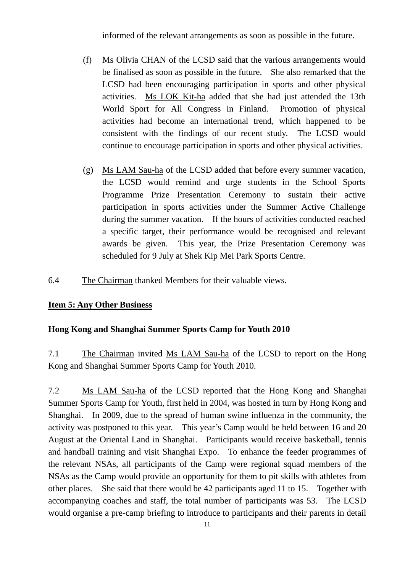informed of the relevant arrangements as soon as possible in the future.

- (f) Ms Olivia CHAN of the LCSD said that the various arrangements would be finalised as soon as possible in the future. She also remarked that the LCSD had been encouraging participation in sports and other physical activities. Ms LOK Kit-ha added that she had just attended the 13th World Sport for All Congress in Finland. Promotion of physical activities had become an international trend, which happened to be consistent with the findings of our recent study. The LCSD would continue to encourage participation in sports and other physical activities.
- (g) Ms LAM Sau-ha of the LCSD added that before every summer vacation, the LCSD would remind and urge students in the School Sports Programme Prize Presentation Ceremony to sustain their active participation in sports activities under the Summer Active Challenge during the summer vacation. If the hours of activities conducted reached a specific target, their performance would be recognised and relevant awards be given. This year, the Prize Presentation Ceremony was scheduled for 9 July at Shek Kip Mei Park Sports Centre.
- 6.4 The Chairman thanked Members for their valuable views.

#### **Item 5: Any Other Business**

#### **Hong Kong and Shanghai Summer Sports Camp for Youth 2010**

7.1 The Chairman invited Ms LAM Sau-ha of the LCSD to report on the Hong Kong and Shanghai Summer Sports Camp for Youth 2010.

7.2 Ms LAM Sau-ha of the LCSD reported that the Hong Kong and Shanghai Summer Sports Camp for Youth, first held in 2004, was hosted in turn by Hong Kong and Shanghai. In 2009, due to the spread of human swine influenza in the community, the activity was postponed to this year. This year's Camp would be held between 16 and 20 August at the Oriental Land in Shanghai. Participants would receive basketball, tennis and handball training and visit Shanghai Expo. To enhance the feeder programmes of the relevant NSAs, all participants of the Camp were regional squad members of the NSAs as the Camp would provide an opportunity for them to pit skills with athletes from other places. She said that there would be 42 participants aged 11 to 15. Together with accompanying coaches and staff, the total number of participants was 53. The LCSD would organise a pre-camp briefing to introduce to participants and their parents in detail